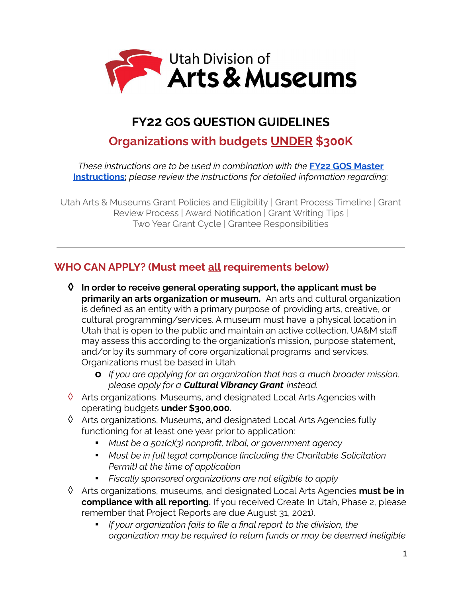

# **FY22 GOS QUESTION GUIDELINES**

# **Organizations with budgets UNDER \$300K**

*These instructions are to be used in combination with the* **FY22 GOS [Master](https://artsandmuseums.utah.gov/wp-content/uploads/2021/06/FY22-GOS-MASTER-GUIDELINES-2.pdf) [Instructions](https://artsandmuseums.utah.gov/wp-content/uploads/2021/06/FY22-GOS-MASTER-GUIDELINES-2.pdf);** *please review the instructions for detailed information regarding:*

Utah Arts & Museums Grant Policies and Eligibility | Grant Process Timeline | Grant Review Process | Award Notification | Grant Writing Tips | Two Year Grant Cycle | Grantee Responsibilities

# **WHO CAN APPLY? (Must meet all requirements below)**

- **◊ In order to receive general operating support, the applicant must be primarily an arts organization or museum.** An arts and cultural organization is defined as an entity with a primary purpose of providing arts, creative, or cultural programming/services. A museum must have a physical location in Utah that is open to the public and maintain an active collection. UA&M staff may assess this according to the organization's mission, purpose statement, and/or by its summary of core organizational programs and services. Organizations must be based in Utah.
	- **o** *If you are applying for an organization that has a much broader mission, please apply for a Cultural Vibrancy Grant instead.*
- $\Diamond$  Arts organizations, Museums, and designated Local Arts Agencies with operating budgets **under \$300,000.**
- ◊ Arts organizations, Museums, and designated Local Arts Agencies fully functioning for at least one year prior to application:
	- *▪ Must be a 501(c)(3) nonprofit, tribal, or government agency*
	- *▪ Must be in full legal compliance (including the Charitable Solicitation Permit) at the time of application*
	- *▪ Fiscally sponsored organizations are not eligible to apply*
- ◊ Arts organizations, museums, and designated Local Arts Agencies **must be in compliance with all reporting.** If you received Create In Utah, Phase 2, please remember that Project Reports are due August 31, 2021).
	- *▪ If your organization fails to file a final report to the division, the organization may be required to return funds or may be deemed ineligible*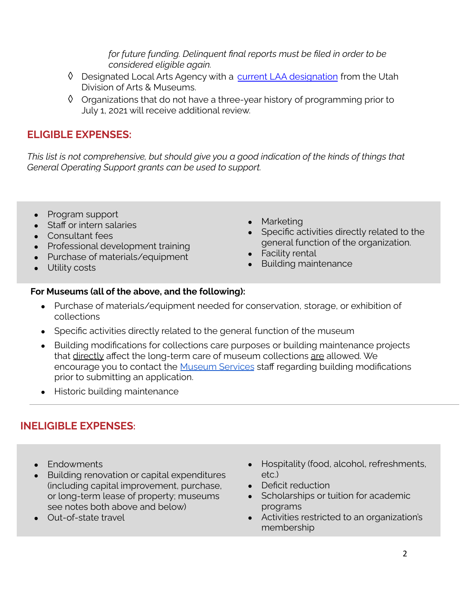*for future funding. Delinquent final reports must be filed in order to be considered eligible again.*

- ↑ Designated Local Arts Agency with a current LAA [designation](https://artsandmuseums.utah.gov/local-arts-agencies/) from the Utah Division of Arts & Museums.
- ◊ Organizations that do not have a three-year history of programming prior to July 1, 2021 will receive additional review.

## **ELIGIBLE EXPENSES:**

*This list is not comprehensive, but should give you a good indication of the kinds of things that General Operating Support grants can be used to support.*

- Program support
- Staff or intern salaries
- Consultant fees
- Professional development training
- Purchase of materials/equipment
- Utility costs
- Marketing
- Specific activities directly related to the general function of the organization.
- Facility rental
- Building maintenance

### **For Museums (all of the above, and the following):**

- Purchase of materials/equipment needed for conservation, storage, or exhibition of collections
- Specific activities directly related to the general function of the museum
- Building modifications for collections care purposes or building maintenance projects that directly affect the long-term care of museum collections are allowed. We encourage you to contact the [Museum](https://artsandmuseums.utah.gov/museums/) Services staff regarding building modifications prior to submitting an application.
- Historic building maintenance

# **INELIGIBLE EXPENSES:**

- Endowments
- Building renovation or capital expenditures (including capital improvement, purchase, or long-term lease of property; museums see notes both above and below)
- Out-of-state travel
- Hospitality (food, alcohol, refreshments, etc.)
- Deficit reduction
- Scholarships or tuition for academic programs
- Activities restricted to an organization's membership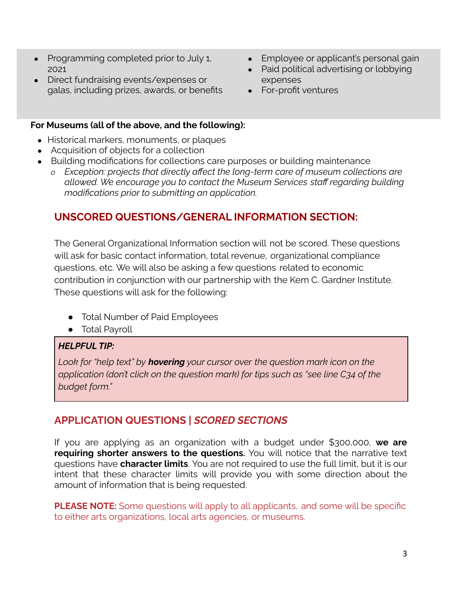- Programming completed prior to July 1, 2021
- Direct fundraising events/expenses or galas, including prizes, awards, or benefits
- Employee or applicant's personal gain
- Paid political advertising or lobbying expenses
- For-profit ventures

#### **For Museums (all of the above, and the following):**

- Historical markers, monuments, or plaques
- Acquisition of objects for a collection
- Building modifications for collections care purposes or building maintenance
	- *o Exception: projects that directly affect the long-term care of museum collections are allowed. We encourage you to contact the Museum Services staff regarding building modifications prior to submitting an application.*

## **UNSCORED QUESTIONS/GENERAL INFORMATION SECTION:**

The General Organizational Information section will not be scored. These questions will ask for basic contact information, total revenue, organizational compliance questions, etc. We will also be asking a few questions related to economic contribution in conjunction with our partnership with the Kem C. Gardner Institute. These questions will ask for the following:

- Total Number of Paid Employees
- Total Payroll

### *HELPFUL TIP:*

*Look for "help text" by hovering your cursor over the question mark icon on the application (don't click on the question mark) for tips such as "see line C34 of the budget form."*

# **APPLICATION QUESTIONS |** *SCORED SECTIONS*

If you are applying as an organization with a budget under \$300,000, **we are requiring shorter answers to the questions.** You will notice that the narrative text questions have **character limits**. You are not required to use the full limit, but it is our intent that these character limits will provide you with some direction about the amount of information that is being requested.

**PLEASE NOTE:** Some questions will apply to all applicants, and some will be specific to either arts organizations, local arts agencies, or museums.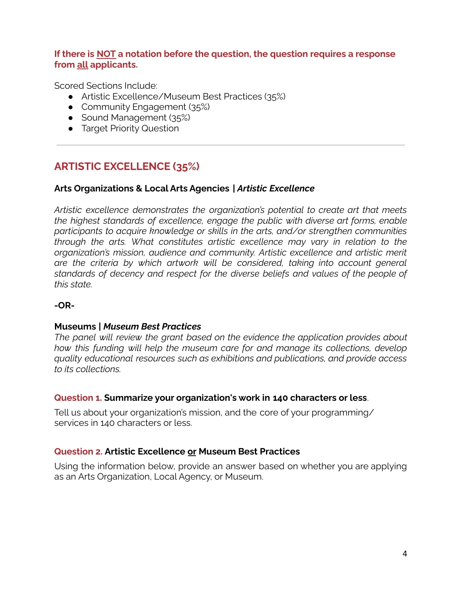#### **If there is NOT a notation before the question, the question requires a response from all applicants.**

Scored Sections Include:

- Artistic Excellence/Museum Best Practices (35%)
- Community Engagement (35%)
- Sound Management (35%)
- Target Priority Question

# **ARTISTIC EXCELLENCE (35%)**

#### **Arts Organizations & Local Arts Agencies** *| Artistic Excellence*

*Artistic excellence demonstrates the organization's potential to create art that meets the highest standards of excellence, engage the public with diverse art forms, enable participants to acquire knowledge or skills in the arts, and/or strengthen communities through the arts. What constitutes artistic excellence may vary in relation to the organization's mission, audience and community. Artistic excellence and artistic merit are the criteria by which artwork will be considered, taking into account general standards of decency and respect for the diverse beliefs and values of the people of this state.*

#### **-OR-**

#### **Museums** *| Museum Best Practices*

*The panel will review the grant based on the evidence the application provides about how this funding will help the museum care for and manage its collections, develop quality educational resources such as exhibitions and publications, and provide access to its collections.*

#### **Question 1. Summarize your organization's work in 140 characters or less**.

Tell us about your organization's mission, and the core of your programming/ services in 140 characters or less.

#### **Question 2. Artistic Excellence or Museum Best Practices**

Using the information below, provide an answer based on whether you are applying as an Arts Organization, Local Agency, or Museum.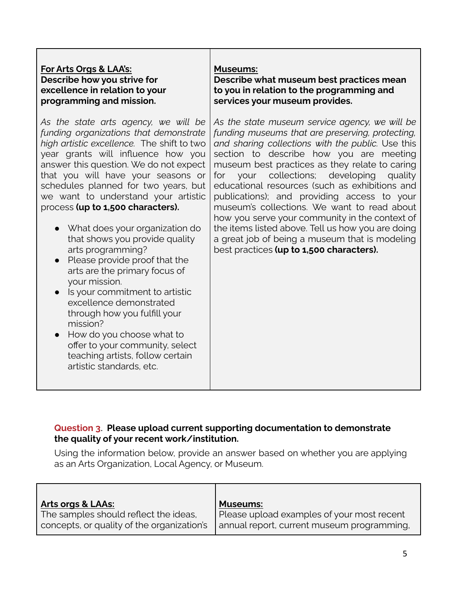#### **For Arts Orgs & LAA's: Describe how you strive for excellence in relation to your programming and mission.**

*As the state arts agency, we will be funding organizations that demonstrate high artistic excellence.* The shift to two year grants will influence how you answer this question. We do not expect that you will have your seasons or schedules planned for two years, but we want to understand your artistic process **(up to 1,500 characters).**

- **●** What does your organization do that shows you provide quality arts programming?
- **●** Please provide proof that the arts are the primary focus of your mission.
- **●** Is your commitment to artistic excellence demonstrated through how you fulfill your mission?
- **●** How do you choose what to offer to your community, select teaching artists, follow certain artistic standards, etc.

#### **Museums:**

**Describe what museum best practices mean to you in relation to the programming and services your museum provides.**

*As the state museum service agency, we will be funding museums that are preserving, protecting, and sharing collections with the public.* Use this section to describe how you are meeting museum best practices as they relate to caring for your collections; developing quality educational resources (such as exhibitions and publications); and providing access to your museum's collections. We want to read about how you serve your community in the context of the items listed above. Tell us how you are doing a great job of being a museum that is modeling best practices **(up to 1,500 characters).**

#### **Question 3**. **Please upload current supporting documentation to demonstrate the quality of your recent work/institution.**

Using the information below, provide an answer based on whether you are applying as an Arts Organization, Local Agency, or Museum.

| <b>Arts orgs &amp; LAAs:</b>               | <b>Museums:</b>                            |
|--------------------------------------------|--------------------------------------------|
| The samples should reflect the ideas,      | Please upload examples of your most recent |
| concepts, or quality of the organization's | annual report, current museum programming, |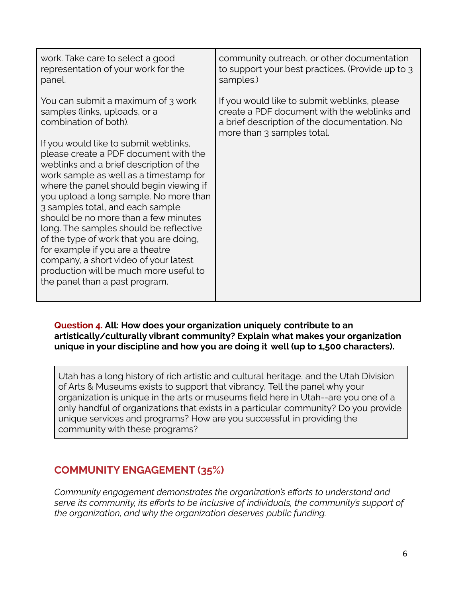| work. Take care to select a good<br>representation of your work for the<br>panel.                                                                                                                                                                                                                                                                                | community outreach, or other documentation<br>to support your best practices. (Provide up to 3<br>samples.)                                                               |
|------------------------------------------------------------------------------------------------------------------------------------------------------------------------------------------------------------------------------------------------------------------------------------------------------------------------------------------------------------------|---------------------------------------------------------------------------------------------------------------------------------------------------------------------------|
| You can submit a maximum of 3 work<br>samples (links, uploads, or a<br>combination of both).<br>If you would like to submit weblinks,<br>please create a PDF document with the<br>weblinks and a brief description of the<br>work sample as well as a timestamp for<br>where the panel should begin viewing if                                                   | If you would like to submit weblinks, please<br>create a PDF document with the weblinks and<br>a brief description of the documentation. No<br>more than 3 samples total. |
| you upload a long sample. No more than<br>3 samples total, and each sample<br>should be no more than a few minutes<br>long. The samples should be reflective<br>of the type of work that you are doing,<br>for example if you are a theatre<br>company, a short video of your latest<br>production will be much more useful to<br>the panel than a past program. |                                                                                                                                                                           |

#### **Question 4. All: How does your organization uniquely contribute to an artistically/culturally vibrant community? Explain what makes your organization unique in your discipline and how you are doing it well (up to 1,500 characters).**

Utah has a long history of rich artistic and cultural heritage, and the Utah Division of Arts & Museums exists to support that vibrancy. Tell the panel why your organization is unique in the arts or museums field here in Utah--are you one of a only handful of organizations that exists in a particular community? Do you provide unique services and programs? How are you successful in providing the community with these programs?

# **COMMUNITY ENGAGEMENT (35%)**

*Community engagement demonstrates the organization's efforts to understand and serve its community, its efforts to be inclusive of individuals, the community's support of the organization, and why the organization deserves public funding.*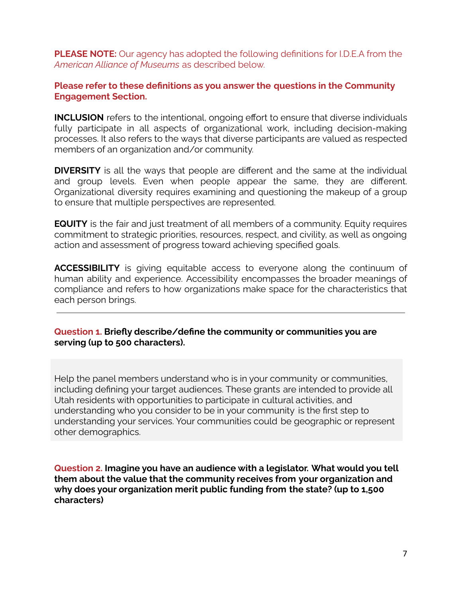**PLEASE NOTE:** Our agency has adopted the following definitions for I.D.E.A from the *American Alliance of Museums* as described below.

#### **Please refer to these definitions as you answer the questions in the Community Engagement Section.**

**INCLUSION** refers to the intentional, ongoing effort to ensure that diverse individuals fully participate in all aspects of organizational work, including decision-making processes. It also refers to the ways that diverse participants are valued as respected members of an organization and/or community.

**DIVERSITY** is all the ways that people are different and the same at the individual and group levels. Even when people appear the same, they are different. Organizational diversity requires examining and questioning the makeup of a group to ensure that multiple perspectives are represented.

**EQUITY** is the fair and just treatment of all members of a community. Equity requires commitment to strategic priorities, resources, respect, and civility, as well as ongoing action and assessment of progress toward achieving specified goals.

**ACCESSIBILITY** is giving equitable access to everyone along the continuum of human ability and experience. Accessibility encompasses the broader meanings of compliance and refers to how organizations make space for the characteristics that each person brings.

#### **Question 1. Briefly describe/define the community or communities you are serving (up to 500 characters).**

Help the panel members understand who is in your community or communities, including defining your target audiences. These grants are intended to provide all Utah residents with opportunities to participate in cultural activities, and understanding who you consider to be in your community is the first step to understanding your services. Your communities could be geographic or represent other demographics.

**Question 2. Imagine you have an audience with a legislator. What would you tell them about the value that the community receives from your organization and why does your organization merit public funding from the state? (up to 1,500 characters)**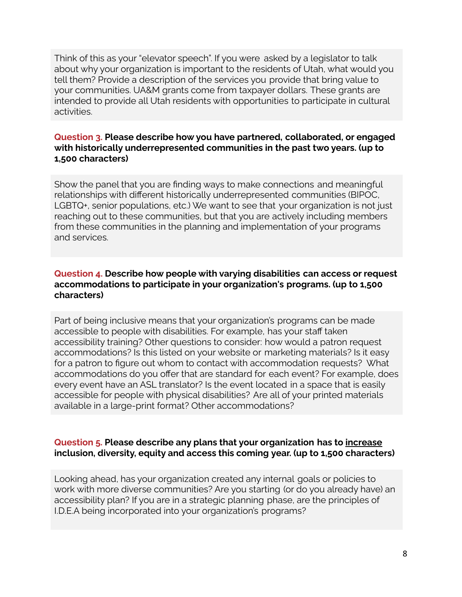Think of this as your "elevator speech". If you were asked by a legislator to talk about why your organization is important to the residents of Utah, what would you tell them? Provide a description of the services you provide that bring value to your communities. UA&M grants come from taxpayer dollars. These grants are intended to provide all Utah residents with opportunities to participate in cultural activities.

#### **Question 3. Please describe how you have partnered, collaborated, or engaged with historically underrepresented communities in the past two years. (up to 1,500 characters)**

Show the panel that you are finding ways to make connections and meaningful relationships with different historically underrepresented communities (BIPOC, LGBTQ+, senior populations, etc.) We want to see that your organization is not just reaching out to these communities, but that you are actively including members from these communities in the planning and implementation of your programs and services.

#### **Question 4. Describe how people with varying disabilities can access or request accommodations to participate in your organization's programs. (up to 1,500 characters)**

Part of being inclusive means that your organization's programs can be made accessible to people with disabilities. For example, has your staff taken accessibility training? Other questions to consider: how would a patron request accommodations? Is this listed on your website or marketing materials? Is it easy for a patron to figure out whom to contact with accommodation requests? What accommodations do you offer that are standard for each event? For example, does every event have an ASL translator? Is the event located in a space that is easily accessible for people with physical disabilities? Are all of your printed materials available in a large-print format? Other accommodations?

#### **Question 5. Please describe any plans that your organization has to increase inclusion, diversity, equity and access this coming year. (up to 1,500 characters)**

Looking ahead, has your organization created any internal goals or policies to work with more diverse communities? Are you starting (or do you already have) an accessibility plan? If you are in a strategic planning phase, are the principles of I.D.E.A being incorporated into your organization's programs?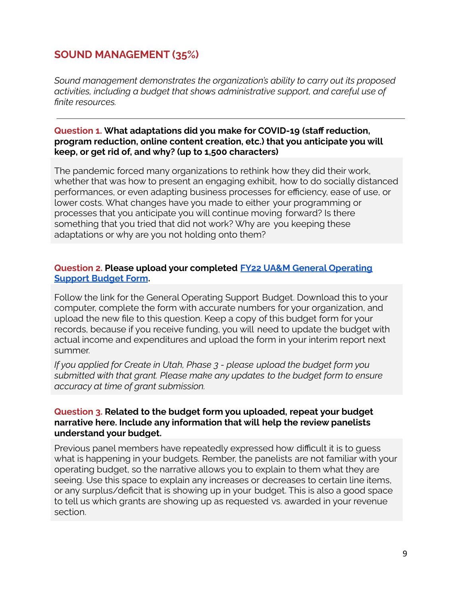# **SOUND MANAGEMENT (35%)**

*Sound management demonstrates the organization's ability to carry out its proposed activities, including a budget that shows administrative support, and careful use of finite resources.*

**Question 1. What adaptations did you make for COVID-19 (staff reduction, program reduction, online content creation, etc.) that you anticipate you will keep, or get rid of, and why? (up to 1,500 characters)**

The pandemic forced many organizations to rethink how they did their work, whether that was how to present an engaging exhibit, how to do socially distanced performances, or even adapting business processes for efficiency, ease of use, or lower costs. What changes have you made to either your programming or processes that you anticipate you will continue moving forward? Is there something that you tried that did not work? Why are you keeping these adaptations or why are you not holding onto them?

#### **Question 2. Please upload your completed FY22 UA&M General [Operating](https://artsandmuseums.utah.gov/general-operating-support-gos-grants/) [Support](https://artsandmuseums.utah.gov/general-operating-support-gos-grants/) Budget Form.**

Follow the link for the General Operating Support Budget. Download this to your computer, complete the form with accurate numbers for your organization, and upload the new file to this question. Keep a copy of this budget form for your records, because if you receive funding, you will need to update the budget with actual income and expenditures and upload the form in your interim report next summer.

*If you applied for Create in Utah, Phase 3 - please upload the budget form you submitted with that grant. Please make any updates to the budget form to ensure accuracy at time of grant submission.*

#### **Question 3. Related to the budget form you uploaded, repeat your budget narrative here. Include any information that will help the review panelists understand your budget.**

Previous panel members have repeatedly expressed how difficult it is to guess what is happening in your budgets. Rember, the panelists are not familiar with your operating budget, so the narrative allows you to explain to them what they are seeing. Use this space to explain any increases or decreases to certain line items, or any surplus/deficit that is showing up in your budget. This is also a good space to tell us which grants are showing up as requested vs. awarded in your revenue section.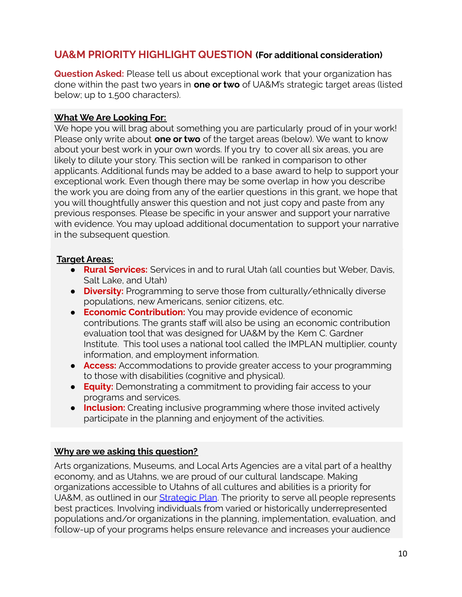## **UA&M PRIORITY HIGHLIGHT QUESTION (For additional consideration)**

**Question Asked:** Please tell us about exceptional work that your organization has done within the past two years in **one or two** of UA&M's strategic target areas (listed below; up to 1,500 characters).

#### **What We Are Looking For:**

We hope you will brag about something you are particularly proud of in your work! Please only write about **one or two** of the target areas (below). We want to know about your best work in your own words. If you try to cover all six areas, you are likely to dilute your story. This section will be ranked in comparison to other applicants. Additional funds may be added to a base award to help to support your exceptional work. Even though there may be some overlap in how you describe the work you are doing from any of the earlier questions in this grant, we hope that you will thoughtfully answer this question and not just copy and paste from any previous responses. Please be specific in your answer and support your narrative with evidence. You may upload additional documentation to support your narrative in the subsequent question.

### **Target Areas:**

- **Rural Services:** Services in and to rural Utah (all counties but Weber, Davis, Salt Lake, and Utah)
- **Diversity:** Programming to serve those from culturally/ethnically diverse populations, new Americans, senior citizens, etc.
- **Economic Contribution:** You may provide evidence of economic contributions. The grants staff will also be using an economic contribution evaluation tool that was designed for UA&M by the Kem C. Gardner Institute. This tool uses a national tool called the IMPLAN multiplier, county information, and employment information.
- **Access:** Accommodations to provide greater access to your programming to those with disabilities (cognitive and physical).
- **Equity:** Demonstrating a commitment to providing fair access to your programs and services.
- **Inclusion:** Creating inclusive programming where those invited actively participate in the planning and enjoyment of the activities.

### **Why are we asking this question?**

Arts organizations, Museums, and Local Arts Agencies are a vital part of a healthy economy, and as Utahns, we are proud of our cultural landscape. Making organizations accessible to Utahns of all cultures and abilities is a priority for UA&M, as outlined in our **[Strategic](https://artsandmuseums.utah.gov/strategicplan/) Plan**. The priority to serve all people represents best practices. Involving individuals from varied or historically underrepresented populations and/or organizations in the planning, implementation, evaluation, and follow-up of your programs helps ensure relevance and increases your audience